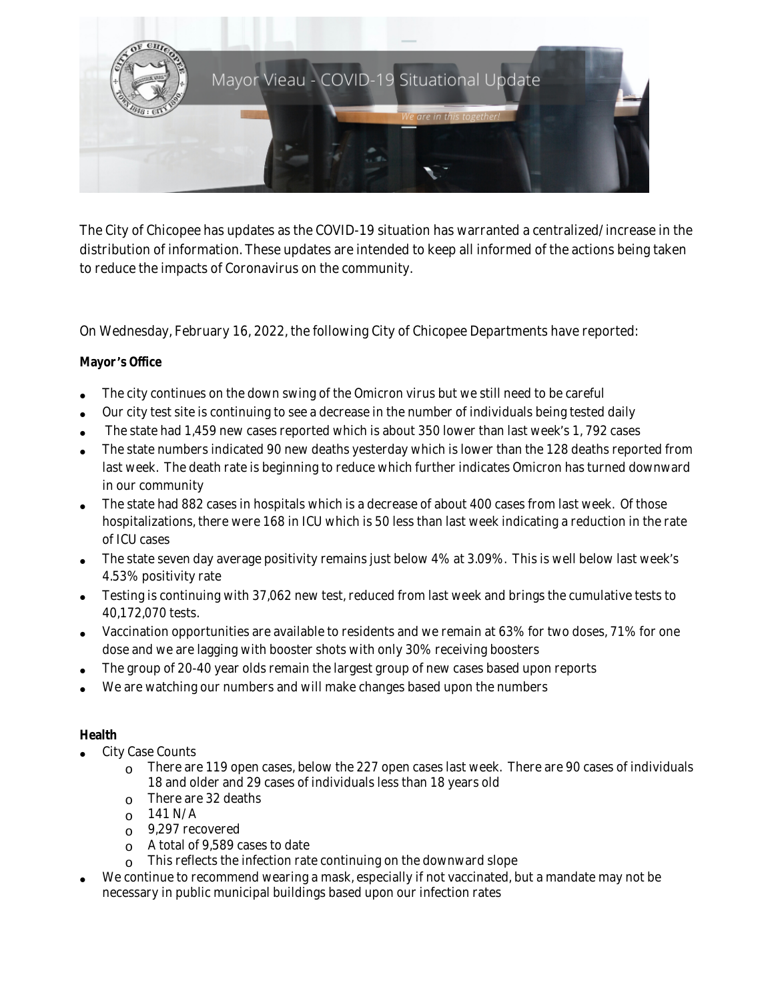

The City of Chicopee has updates as the COVID-19 situation has warranted a centralized/increase in the distribution of information. These updates are intended to keep all informed of the actions being taken to reduce the impacts of Coronavirus on the community.

On Wednesday, February 16, 2022, the following City of Chicopee Departments have reported:

## **Mayor** '**s Office**

- The city continues on the down swing of the Omicron virus but we still need to be careful
- Our city test site is continuing to see a decrease in the number of individuals being tested daily
- The state had 1,459 new cases reported which is about 350 lower than last week's 1, 792 cases
- The state numbers indicated 90 new deaths yesterday which is lower than the 128 deaths reported from last week. The death rate is beginning to reduce which further indicates Omicron has turned downward in our community
- The state had 882 cases in hospitals which is a decrease of about 400 cases from last week. Of those hospitalizations, there were 168 in ICU which is 50 less than last week indicating a reduction in the rate of ICU cases
- The state seven day average positivity remains just below 4% at 3.09%. This is well below last week's 4.53% positivity rate
- Testing is continuing with 37,062 new test, reduced from last week and brings the cumulative tests to 40,172,070 tests.
- Vaccination opportunities are available to residents and we remain at 63% for two doses, 71% for one dose and we are lagging with booster shots with only 30% receiving boosters
- The group of 20-40 year olds remain the largest group of new cases based upon reports
- We are watching our numbers and will make changes based upon the numbers

## **Health**

- City Case Counts
	- $\circ$  There are 119 open cases, below the 227 open cases last week. There are 90 cases of individuals 18 and older and 29 cases of individuals less than 18 years old
	- o There are 32 deaths
	- $_0$  141 N/A
	- o 9,297 recovered
	- o A total of 9,589 cases to date
	- This reflects the infection rate continuing on the downward slope
- We continue to recommend wearing a mask, especially if not vaccinated, but a mandate may not be necessary in public municipal buildings based upon our infection rates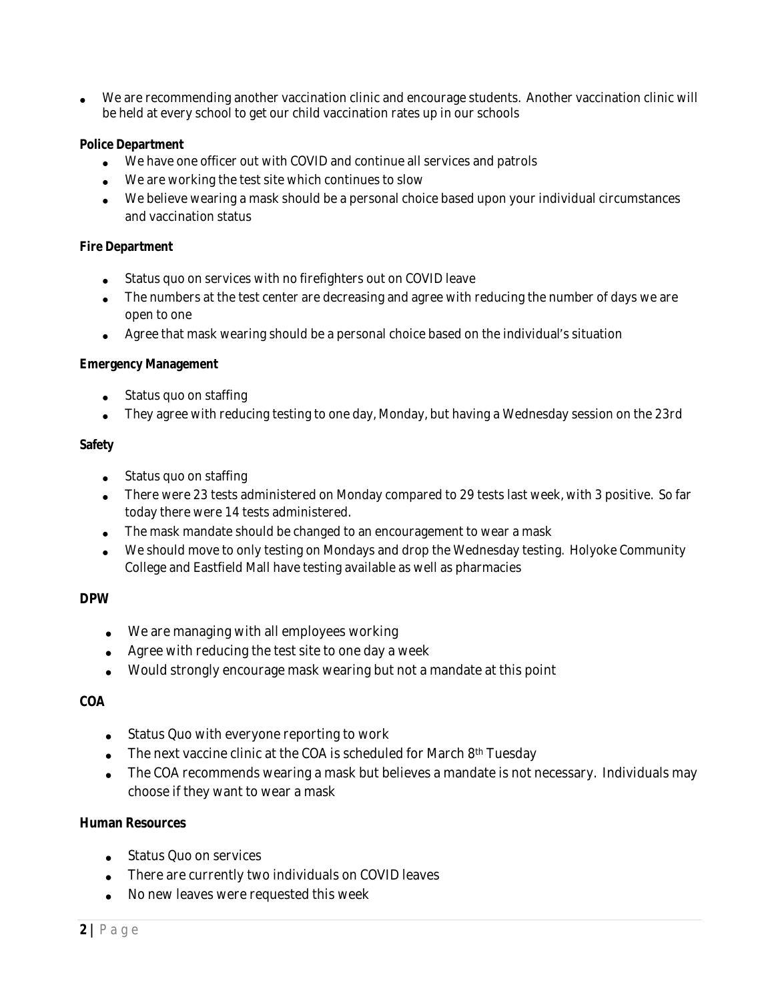We are recommending another vaccination clinic and encourage students. Another vaccination clinic will be held at every school to get our child vaccination rates up in our schools

#### **Police Department**

- We have one officer out with COVID and continue all services and patrols
- We are working the test site which continues to slow
- We believe wearing a mask should be a personal choice based upon your individual circumstances and vaccination status

#### **Fire Department**

- Status quo on services with no firefighters out on COVID leave
- The numbers at the test center are decreasing and agree with reducing the number of days we are open to one
- Agree that mask wearing should be a personal choice based on the individual's situation

#### **Emergency Management**

- Status quo on staffing
- They agree with reducing testing to one day, Monday, but having a Wednesday session on the 23rd

### **Safety**

- Status quo on staffing
- There were 23 tests administered on Monday compared to 29 tests last week, with 3 positive. So far today there were 14 tests administered.
- The mask mandate should be changed to an encouragement to wear a mask
- We should move to only testing on Mondays and drop the Wednesday testing. Holyoke Community College and Eastfield Mall have testing available as well as pharmacies

## **DPW**

- We are managing with all employees working
- Agree with reducing the test site to one day a week
- Would strongly encourage mask wearing but not a mandate at this point

## **COA**

- Status Quo with everyone reporting to work
- The next vaccine clinic at the COA is scheduled for March 8<sup>th</sup> Tuesday
- The COA recommends wearing a mask but believes a mandate is not necessary. Individuals may choose if they want to wear a mask

#### **Human Resources**

- Status Quo on services
- There are currently two individuals on COVID leaves
- No new leaves were requested this week